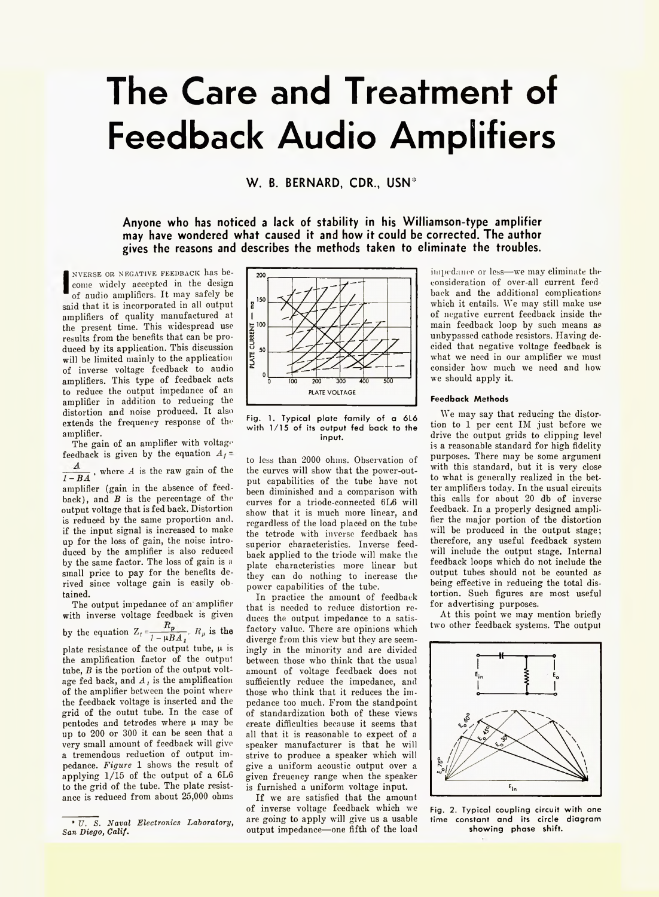# **The Care and Treatment of Feedback Audio Amplifiers**

**W. B. BERNARD, CDR., USN\***

**Anyone who has noticed a lack of stability in his Williamson-type amplifier may have wondered what caused it and how it could be corrected. The author gives the reasons and describes the methods taken to eliminate the troubles.**

**I** NVERSE OR NEGATIVE FEEDBACK has become widely accepted in the design of audio amplifiers. It may safely be said that it is incorporated in all output amplifiers of quality manufactured at the present time. This widespread use results from the benefits that can be produced by its application. This discussion will be limited mainly to the application of inverse voltage feedback to audio amplifiers. This type of feedback acts to reduce the output impedance of an amplifier in addition to reducing the distortion and noise produced. It also extends the frequency response of the amplifier.

The gain of an amplifier with voltage feedback is given by the equation  $A_f$ =

 $\frac{1}{1 - BA}$ , where *A* is the raw gain of the amplifier (gain in the absence of feed-

back), and *B* is the percentage of the output voltage that is fed back. Distortion is reduced by the same proportion and. if the input signal is increased to make up for the loss of gain, the noise introduced by the amplifier is also reduced by the same factor. The loss of gain is a small price to pay for the benefits derived since voltage gain is easily obtained.

The output impedance of an' amplifier with inverse voltage feedback is given by the equation  $Z_f = \frac{p}{1 - \mu B A_f} R_p$  is the plate resistance of the output tube,  $\mu$  is the amplification factor of the output tube, *B* is the portion of the output voltage fed back, and *A,* is the amplification of the amplifier between the point where the feedback voltage is inserted and the grid of the outut tube. In the case of pentodes and tetrodes where  $\mu$  may be up to 200 or 300 it can be seen that a very small amount of feedback will give a tremendous reduction of output impedance. *Figure* 1 shows the result of applying 1/15 of the output of a 6L6 to the grid of the tube. The plate resistance is reduced from about 25,000 ohms



Fig. 1. Typical plate family of a 6L6 with 1/15 of its output fed back to the input.

to less than 2000 ohms. Observation of the curves will show that the power-output capabilities of the tube have not been diminished and a comparison with curves for a triode-conneeted 6L6 will show that it is much more linear, and regardless of the load placed on the tube the tetrode with inverse feedback has superior characteristics. Inverse feedback applied to the triode will make the plate characteristics more linear but they can do nothing to increase the power capabilities of the tube.

In practice the amount of feedback that is needed to reduce distortion reduces the output impedance to a satisfactory value. There are opinions which diverge from this view but they are seemingly in the minority and are divided between those who think that the usual amount of voltage feedback does not sufficiently reduce the impedance, and those who think that it reduces the impedance too much. From the standpoint of standardization both of these views create difficulties because it seems that all that it is reasonable to expect of a speaker manufacturer is that he will strive to produce a speaker which will give a uniform acoustic output over a given freuency range when the speaker is furnished a uniform voltage input.

If we are satisfied that the amount of inverse voltage feedback which we are going to apply will give us a usable output impedance— one fifth of the load

impedance or less— we may eliminate the consideration of over-all current feed back and the additional complications which it entails. We may still make use of negative current feedback inside the main feedback loop by such means as unbypassed cathode resistors. Having decided that negative voltage feedback is what we need in our amplifier we must consider how much we need and how we should apply it.

# **Feedback Methods**

We may say that reducing the distortion to 1 per cent IM just before we drive the output grids to clipping level is a reasonable standard for high fidelity purposes. There may be some argument with this standard, but it is very close to what is generally realized in the better amplifiers today. In the usual circuits this calls for about 20 db of inverse feedback. In a properly designed amplifier the major portion of the distortion will be produced in the output stage; therefore, any useful feedback system will include the output stage. Internal feedback loops which do not include the output tubes should not be counted as being effective in reducing the total distortion. Such figures are most useful for advertising purposes.

At this point we may mention briefly two other feedback systems. The output



Fig. 2. Typical coupling circuit with one time constant and its circle diagram showing phase shift.

<sup>\*</sup> *V. S. Naval Electronics Laboratory, San Diego, Calif.*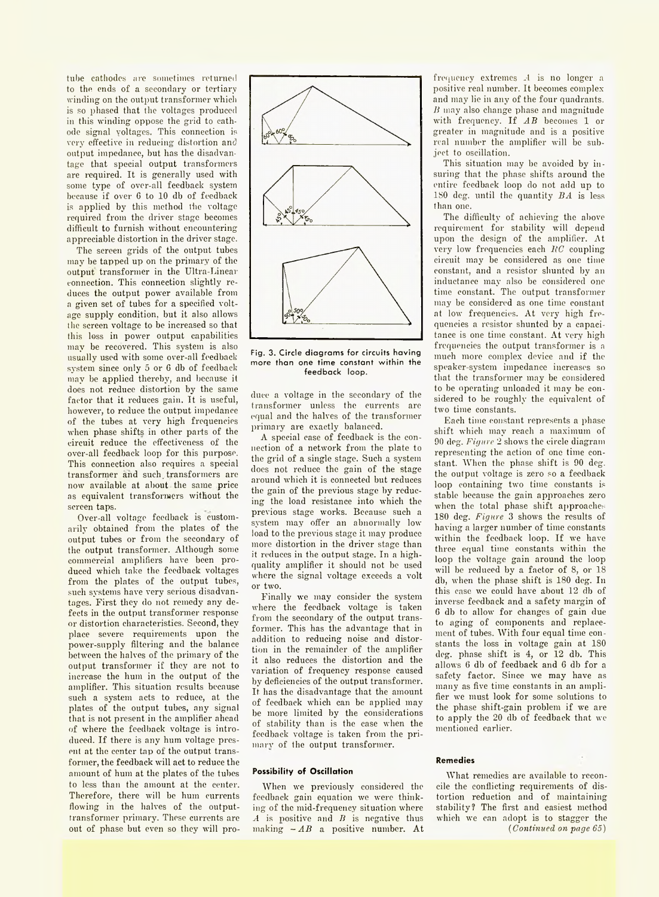tube cathodes are sometimes returned to the ends of a secondary or tertiary winding on the output transformer which is so phased that the voltages produced in this winding oppose the grid to cathode signal voltages. This connection is very' effective in reducing' distortion and output impedance, but has the disadvantage that special output transformers are required. It is generally used with some type of over-all feedback system because if over 6 to 10 db of feedback is applied by this method the voltage required from the driver stage becomes difficult to furnish without encountering appreciable distortion in the driver stage.

The screen grids of the output tubes may be tapped up on the primary of the output transformer in the Ultra-Linear connection. This connection slightly reduces the output power available from a given set of tubes for a specified voltage supply condition, but it also allows the screen voltage to be increased so that this loss in power output capabilities may be recovered. This system is also usually used with some over-all feedback system since only 5 or 6 db of feedback may be applied thereby, and because it does not reduce distortion by the same factor that it reduces gain. It is useful, however, to reduce the output impedance of the tubes at very high frequencies when phase shifts in other parts of the circuit reduce the effectiveness of the over-all feedback loop for this purpose. This connection also requires a special transformer and such, transformers are now available at about the same price as equivalent transformers without the screen taps.

Over-all voltage feedback is customarily obtained from the plates of the output tubes or from the secondary of the output transformer. Although some commercial amplifiers have been produced which take the feedback voltages from the plates of the output tubes, such systems have very serious disadvantages. First they do not remedy any defects in the output transformer response or distortion characteristics. Second, they place severe requirements upon the power-supply filtering and the balance between the halves of the primary of the output transformer if they are not to increase the hum in the output of the amplifier. This situation results because such a system acts to reduce, at the plates of the output tubes, any signal that is not present in the amplifier ahead of where the feedback voltage is introduced. If there is any hum voltage present at the center tap of the output transformer, the feedback will act to reduce the amount of hum at the plates of the tubes to less than the amount at the center. Therefore, there will be hum currents flowing in the halves of the outputtransformer primary. These currents are out of phase but even so they will pro-



Fig. 3. Circle diagrams for circuits having more than one time constant within the feedback loop.

duee a voltage in the secondary of the transformer unless the currents are equal and the halves of the transformer primary are exactly balanced.

A special case of feedback is the connection of a network from the plate to the grid of a single stage. Such a system does not reduce the gain of the stage around which it is connected but reduces the gain of the previous stage by reducing the load resistance into which the previous stage works. Because such a system may offer an abnormally low load to the previous stage it may produce more distortion in the driver stage than it reduces in the output stage. In a highquality amplifier it should not be used where the signal voltage exceeds a volt or two.

Finally we may consider the system where the feedback voltage is taken from the secondary of the output transformer. This has the advantage that in addition to reducing noise and distortion in the remainder of the amplifier it also reduces the distortion and the variation of frequency response caused by deficiencies of the output transformer. It has the disadvantage that the amount of feedback which can be applied may be more limited by the considerations of stability than is the case when the feedback voltage is taken from the primary of the output transformer.

## **Possibility of Oscillation**

When we previously considered the feedback gain equation we were thinking of the mid-frequency situation where *A* is positive and *B* is negative thus making  $-AB$  a positive number. At

frequency extremes -4 is no longer a positive real number. It becomes complex and may lie in any of the four quadrants. *B* may also change phase and magnitude with frequency. If AB becomes 1 or greater in magnitude and is a positive real number the amplifier will be subject to oscillation.

This situation may be avoided by insuring that the phase shifts around the entire feedback loop do not add up to 180 deg. until the quantity *BA* is less than one.

The difficulty of achieving the above requirement for stability will depend upon the design of the amplifier. At very low frequencies each *RC* coupling circuit may be considered as one time constant, and a resistor shunted by an inductance may also be considered one time constant. The output transformer may be considered as one time constant at low frequencies. At very high frequencies a resistor shunted by a capacitance is one time constant. At very high frequencies the output transformer is a much more complex device and if the speaker-system impedance increases so that the transformer may be considered to be operating unloaded it may be considered to be roughly the equivalent of two time constants.

Each time constant represents a phase shift which may reach a maximum of 90 deg. *Figure* 2 shows the circle diagram representing the action of one time constant. When the phase shift is 90 deg. the output voltage is zero so a feedback loop containing two time constants is stable because the gain approaches zero when the total phase shift approaches 180 deg. *Figure* 3 shows the results of having a larger number of time constants within the feedback loop. If we have three equal time constants within the loop the voltage gain around the loop will be reduced by a factor of 8, or 18 db, when the phase shift is 180 deg. In this case we could have about 12 db of inverse feedback and a safety margin of 6 db to allow for changes of gain due to aging of components and replacement of tubes. With four equal time constants the loss in voltage gain at 180 deg. phase shift is 4, or 12 db. This allows 6 db of feedback and 6 db for a safety factor. Since we may have as many as five time constants in an amplifier we must look for some solutions to the phase shift-gain problem if we are to apply the 20 db of feedback that we mentioned earlier.

#### **Remedies**

What remedies are available to reconcile the conflicting requirements of distortion reduction and of maintaining stability? The first and easiest method which we can adopt is to stagger the *( Continued on page 65)*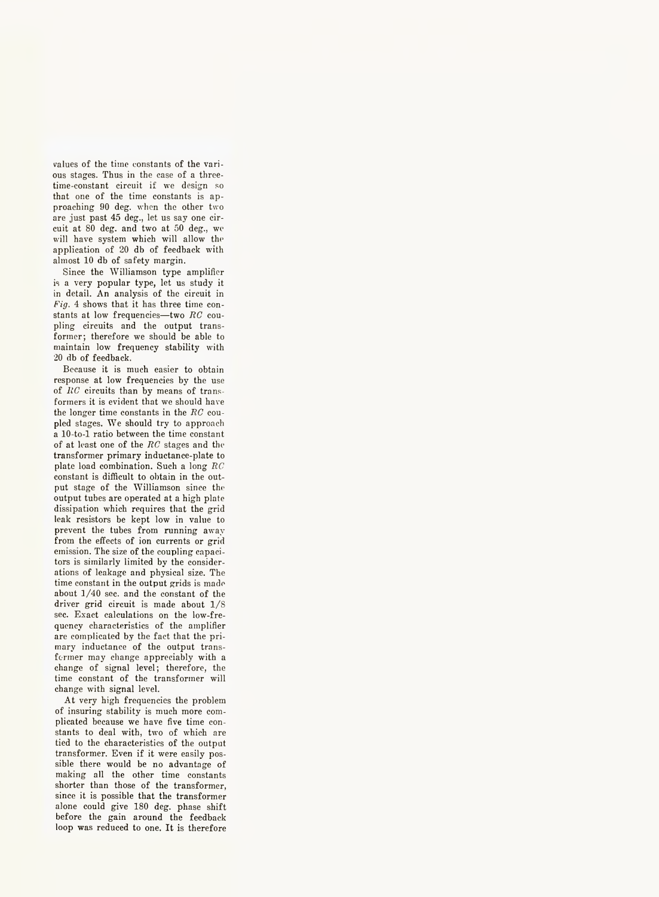values of the time constants of the various stages. Thus in the case of a threetime-eonstant circuit if we design so that one of the time constants is approaching 90 deg. when the other two are just past 45 deg., let us say one circuit at 80 deg. and two at 50 deg., we will have system which will allow the application of 20 db of feedback with almost 10 db of safety margin.

Since the Williamson type amplifier is a very popular type, let us study it in detail. An analysis of the circuit in *Fig.* 4 shows that it has three time constants at low frequencies— two *EC* coupling circuits and the output transformer; therefore we should be able to maintain low frequency stability with 20 db of feedback.

Because it is much easier to obtain response at low frequencies by the use of *EC* circuits than by means of transformers it is evident that we should have the longer time constants in the *EC* coupled stages. We should try to approach a 10-to-l ratio between the time constant of at least one of the *EC* stages and the transformer primary inductance-plate to plate load combination. Such a long *EC* constant is difficult to obtain in the output stage of the Williamson since the output tubes are operated at a high plate dissipation which requires that the grid leak resistors be kept low in value to prevent the tubes from running away from the effects of ion currents or grid emission. The size of the coupling capacitors is similarly limited by the considerations of leakage and physical size. The time constant in the output grids is made about 1/40 sec. and the constant of the driver grid circuit is made about 1/S sec. Exact calculations on the low-frequency characteristics of the amplifier are complicated by the fact that the primary inductance of the output transformer may change appreciably with a change of signal level; therefore, the time constant of the transformer will change with signal level.

At very high frequencies the problem of insuring stability is much more complicated because we have five time constants to deal with, two of which are tied to the characteristics of the output transformer. Even if it were easily possible there would be no advantage of making all the other time constants shorter than those of the transformer, since it is possible that the transformer alone could give 180 deg. phase shift before the gain around the feedback loop was reduced to one. It is therefore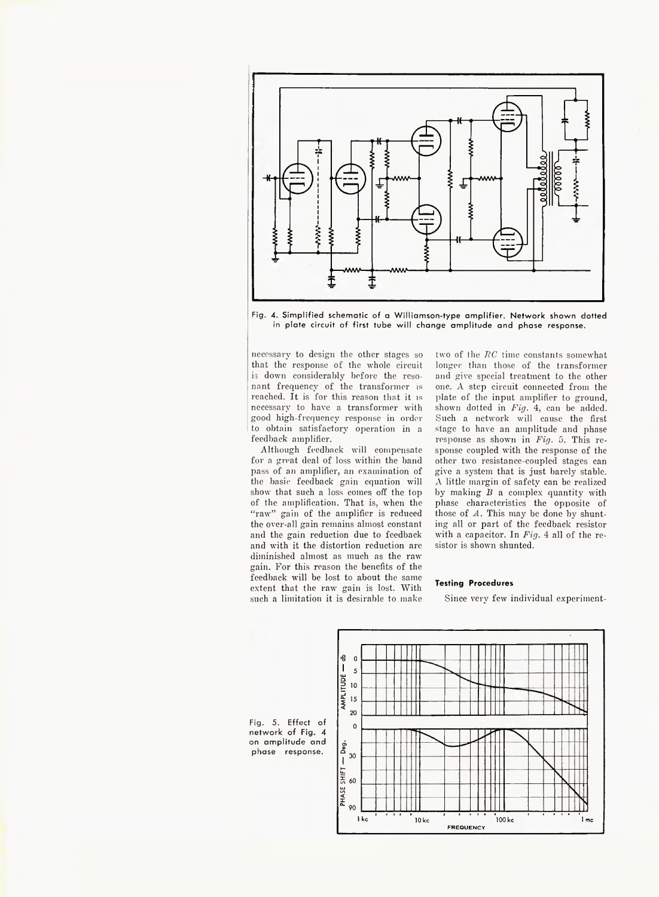

Fig. 4. Simplified schematic of a Williamson-type amplifier. Network shown dotted in plate circuit of first tube will change amplitude and phase response.

necessary to design the other stages so that the response of the whole circuit is down considerably before the resonant frequency of the transformer is reached. It is for this reason that it is necessary to have a transformer with good high-frequency response in order to obtain satisfactory operation in a feedback amplifier.

Although feedback will compensate for a great deal of loss within the band pass of an amplifier, an examination of the basic feedback gain equation will show that such a loss comes off the top of the amplification. That is, when the "raw" gain of the amplifier is reduced the over-all gain remains almost constant and the gain reduction due to feedback and with it the distortion reduction are diminished almost as much as the raw gain. For this reason the benefits of the feedback will be lost to about the same extent that the raw gain is lost. With such a limitation it is desirable to make

two of the  $RC$  time constants somewhat longer than those of the transformer and give special treatment to the other one. A step circuit connected from the plate of the input amplifier to ground, shown dotted in *Fig.* 4, can be added. Such a network will cause the first stage to have an amplitude and phase response as shown in *Fig.* 5. This response coupled with the response of the other two resistance-coupled stages can give a system that is just barely stable. A little margin of safety can be realized by making *B* a complex quantity with phase characteristics the opposite of those of *A.* This may be done by shunting all or part of the feedback resistor with a capacitor. In *Fig.* 4 all of the resistor is shown shunted.

# **Testing Procedures**

Since very few individual experiment-

Fig. 5. Effect of network of Fig. 4 on amplitude and phase response.

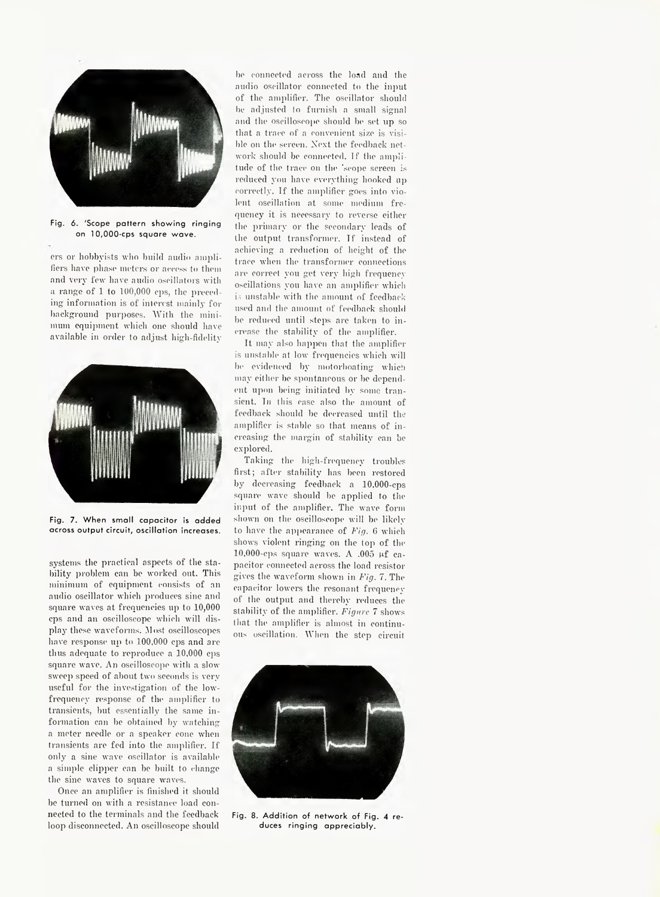

Fig. 6. 'Scope pattern showing ringing on 10,000-cps square wave.

ers or hobbyists who build audio amplifiers have phase meters or access to them and very few have audio oscillators with a range of 1 to 100,000 cps, the preceding information is of interest mainly for background purposes. With the minimum equipment which one should have available in order to adjust high-fidelity



Fig. 7. When small capacitor is added across output circuit, oscillation increases.

systems the practical aspects of the stability problem can be worked out. This minimum of equipment consists of an audio oscillator which produces sine and square waves at frequencies up to 10,000 cps and an oscilloscope which will display these waveforms. Host oscilloscopes have response up to 100,000 cps and are thus adequate to reproduce a 10,000 cps square wave. An oscilloscope with a slow sweep speed of about two seconds is very useful for the investigation of the lowfrequency response of the amplifier to transients, but essentially the same information can be obtained by watching a meter needle or a speaker cone when transients are fed into the amplifier. If only a sine wave oscillator is available a simple clipper can be built to change the sine waves to square waves.

Once an amplifier is finished it should be turned on with a resistance load connected to the terminals and the feedback loop disconnected. An oscilloscope should

be connected across the load and the audio oscillator connected to the input of the amplifier. The oscillator should be adjusted to furnish a small signal and the oscilloscope should be set up so that a trace of a convenient size is visible on the screen. Next the feedback network should be connected. If the amplitude of the trace on the 'scope screen is reduced you have everything hooked up correctly. If the amplifier goes into violent oscillation at some medium frequency it is necessary to reverse either the primary or the secondary leads of the output transformer. If instead of achieving a reduction of height of the trace when the transformer connections are correct you get very high frequency oscillations you have an amplifier which is unstable with the amount of feedback used and the amount of feedback should be reduced until steps are taken to increase the stability of the amplifier.

It may also happen that the amplifier is unstable at low frequencies which will be evidenced by motorboating which may either be spontaneous or be dependent upon being initiated by some transient. In this case also the amount of feedback should be decreased until the amplifier is stable so that means of increasing the margin of stability can be explored.

Taking the high-frequency troubles first; after stability has been restored by decreasing feedback a 10,000-cps square wave should be applied to the input of the amplifier. The wave form shown on the oscilloscope will be likely to have the appearance of *Fig.* 6 which shows violent ringing on the top of the 10,000-cps square waves. A .005  $\mu$ f capacitor connected across the load resistor gives the waveform shown in *Fig. 7.* The capacitor lowers the resonant frequency of the output and thereby reduces the stability of the amplifier. *Figure 7* shows that the amplifier is almost in continuous oscillation. When the step circuit



Fig. 8. Addition of network of Fig. 4 reduces ringing appreciably.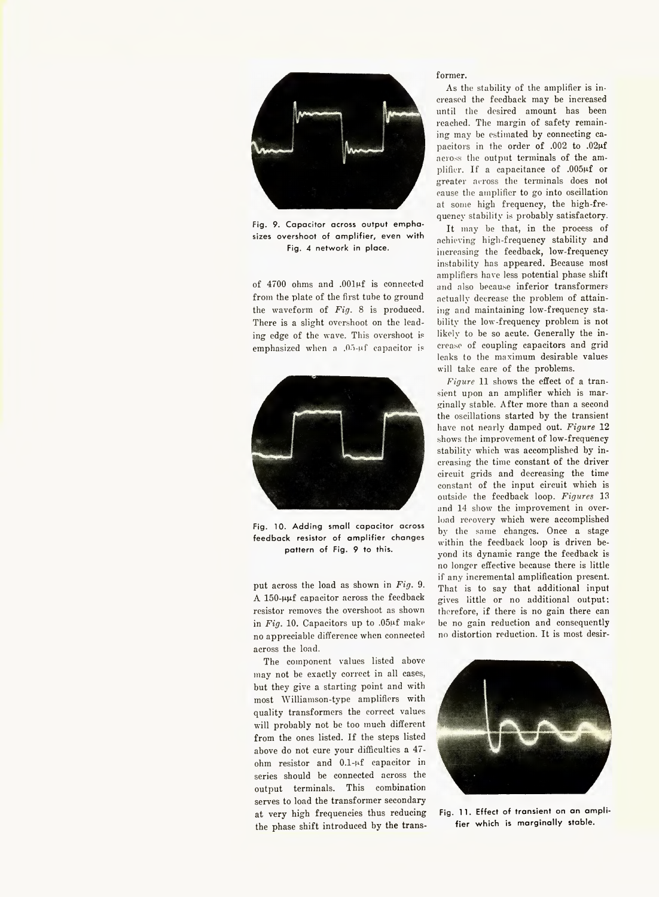

Fig. 9. Capacitor across output emphasizes overshoot of amplifier, even with Fig. 4 network in place.

of 4700 ohms and .OOlpf is connected from the plate of the first tube to ground the waveform of *Fig.* 8 is produced. There is a slight overshoot on the leading edge of the wave. This overshoot is emphasized when a .05-nf capacitor is



Fig. 10. Adding small capacitor across feedback resistor of amplifier changes pattern of Fig. 9 to this.

put across the load as shown in *Fig.* 9.  $A$  150- $\mu\mu f$  capacitor across the feedback resistor removes the overshoot as shown in *Fig.* 10. Capacitors up to ,05pf make no appreciable difference when connected across the load.

The component values listed above may not be exactly correct in all cases, but they give a starting point and with most Williamson-type amplifiers with quality transformers the correct values will probably not be too much different from the ones listed. If the steps listed above do not cure your difficulties a 47 ohm resistor and 0.1-pf capacitor in series should be connected across the output terminals. This combination serves to load the transformer secondary at very high frequencies thus reducing the phase shift introduced by the trans-

# former.

As the stability of the amplifier is increased the feedback may be increased until the desired amount has been reached. The margin of safety remaining may be estimated by connecting capacitors in the order of .002 to .02µf across the output terminals of the amplifier. If a capacitance of .005µf or greater across the terminals does not cause the amplifier to go into oscillation at some high frequency, the high-frequency stability is probably satisfactory.

It may he that, in the process of achieving high-frequency stability and increasing the feedback, low-frequency instability has appeared. Because most amplifiers have less potential phase shift and also because inferior transformers actually decrease the problem of attaining and maintaining low-frequency stability the low-frequency problem is not likely to be so acute. Generally the increase of coupling capacitors and grid leaks to the maximum desirable values will take care of the problems.

*Figure* 11 shows the effect of a transient upon an amplifier which is marginally stable. After more than a second the oscillations started by the transient have not nearly damped out. *Figure* 12 shows the improvement of low-frequency stability which was accomplished by increasing the time constant of the driver circuit grids and decreasing the time constant of the input circuit which is outside the feedback loop. *Figures* 13 and 14 show the improvement in overload recovery which were accomplished by the same changes. Once a stage within the feedback loop is driven beyond its dynamic range the feedback is no longer effective because there is little if any incremental amplification present. That is to say that additional input gives little or no additional output; therefore, if there is no gain there can be no gain reduction and consequently no distortion reduction. It is most desir-



Fig. 11. Effect of transient on an amplifier which is marginally stable.